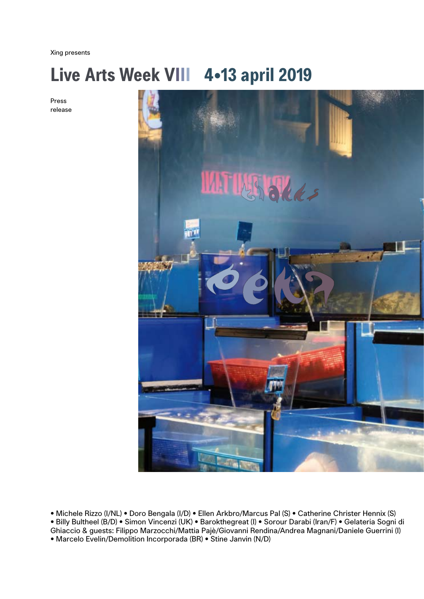Xing presents

# **Live Arts Week VIII 4**•**13 april 2019**

Press release



• Michele Rizzo (I/NL) • Doro Bengala (I/D) • Ellen Arkbro/Marcus Pal (S) • Catherine Christer Hennix (S) • Billy Bultheel (B/D) • Simon Vincenzi (UK) • Barokthegreat (I) • Sorour Darabi (Iran/F) • Gelateria Sogni di Ghiaccio & guests: Filippo Marzocchi/Mattia Pajè/Giovanni Rendina/Andrea Magnani/Daniele Guerrini (I) • Marcelo Evelin/Demolition Incorporada (BR) • Stine Janvin (N/D)